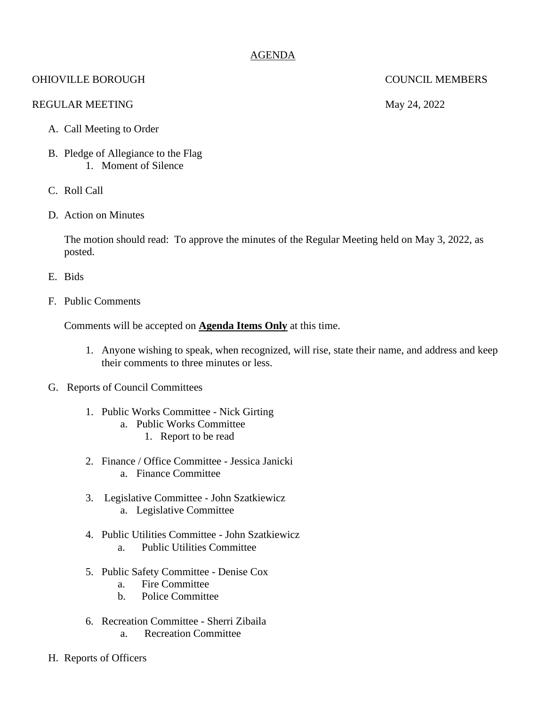## AGENDA

# OHIOVILLE BOROUGH COUNCIL MEMBERS

### REGULAR MEETING May 24, 2022

#### A. Call Meeting to Order

- B. Pledge of Allegiance to the Flag 1. Moment of Silence
- C. Roll Call
- D. Action on Minutes

The motion should read: To approve the minutes of the Regular Meeting held on May 3, 2022, as posted.

- E. Bids
- F. Public Comments

Comments will be accepted on **Agenda Items Only** at this time.

- 1. Anyone wishing to speak, when recognized, will rise, state their name, and address and keep their comments to three minutes or less.
- G. Reports of Council Committees
	- 1. Public Works Committee Nick Girting
		- a. Public Works Committee
			- 1. Report to be read
	- 2. Finance / Office Committee Jessica Janicki a. Finance Committee
	- 3. Legislative Committee John Szatkiewicz a. Legislative Committee
	- 4. Public Utilities Committee John Szatkiewicz a. Public Utilities Committee
	- 5. Public Safety Committee Denise Cox
		- a. Fire Committee
		- b. Police Committee
	- 6. Recreation Committee Sherri Zibaila
		- a. Recreation Committee
- H. Reports of Officers